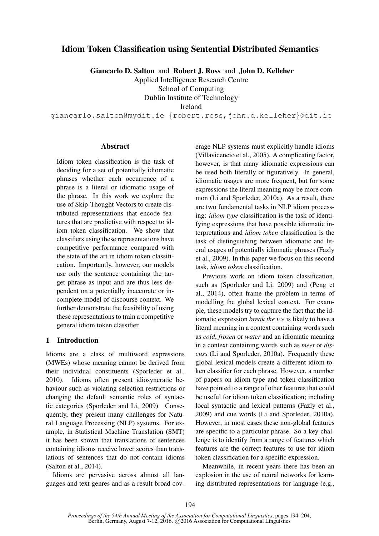# Idiom Token Classification using Sentential Distributed Semantics

Giancarlo D. Salton and Robert J. Ross and John D. Kelleher

Applied Intelligence Research Centre

School of Computing

Dublin Institute of Technology

Ireland

giancarlo.salton@mydit.ie {robert.ross,john.d.kelleher}@dit.ie

### **Abstract**

Idiom token classification is the task of deciding for a set of potentially idiomatic phrases whether each occurrence of a phrase is a literal or idiomatic usage of the phrase. In this work we explore the use of Skip-Thought Vectors to create distributed representations that encode features that are predictive with respect to idiom token classification. We show that classifiers using these representations have competitive performance compared with the state of the art in idiom token classification. Importantly, however, our models use only the sentence containing the target phrase as input and are thus less dependent on a potentially inaccurate or incomplete model of discourse context. We further demonstrate the feasibility of using these representations to train a competitive general idiom token classifier.

# 1 Introduction

Idioms are a class of multiword expressions (MWEs) whose meaning cannot be derived from their individual constituents (Sporleder et al., 2010). Idioms often present idiosyncratic behaviour such as violating selection restrictions or changing the default semantic roles of syntactic categories (Sporleder and Li, 2009). Consequently, they present many challenges for Natural Language Processing (NLP) systems. For example, in Statistical Machine Translation (SMT) it has been shown that translations of sentences containing idioms receive lower scores than translations of sentences that do not contain idioms (Salton et al., 2014).

Idioms are pervasive across almost all languages and text genres and as a result broad coverage NLP systems must explicitly handle idioms (Villavicencio et al., 2005). A complicating factor, however, is that many idiomatic expressions can be used both literally or figuratively. In general, idiomatic usages are more frequent, but for some expressions the literal meaning may be more common (Li and Sporleder, 2010a). As a result, there are two fundamental tasks in NLP idiom processing: *idiom type* classification is the task of identifying expressions that have possible idiomatic interpretations and *idiom token* classification is the task of distinguishing between idiomatic and literal usages of potentially idiomatic phrases (Fazly et al., 2009). In this paper we focus on this second task, *idiom token* classification.

Previous work on idiom token classification, such as (Sporleder and Li, 2009) and (Peng et al., 2014), often frame the problem in terms of modelling the global lexical context. For example, these models try to capture the fact that the idiomatic expression *break the ice* is likely to have a literal meaning in a context containing words such as *cold*, *frozen* or *water* and an idiomatic meaning in a context containing words such as *meet* or *discuss* (Li and Sporleder, 2010a). Frequently these global lexical models create a different idiom token classifier for each phrase. However, a number of papers on idiom type and token classification have pointed to a range of other features that could be useful for idiom token classification; including local syntactic and lexical patterns (Fazly et al., 2009) and cue words (Li and Sporleder, 2010a). However, in most cases these non-global features are specific to a particular phrase. So a key challenge is to identify from a range of features which features are the correct features to use for idiom token classification for a specific expression.

Meanwhile, in recent years there has been an explosion in the use of neural networks for learning distributed representations for language (e.g.,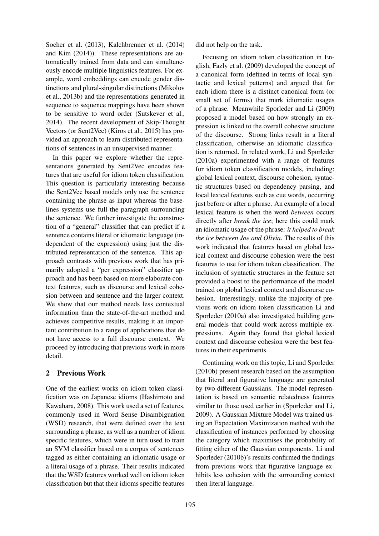Socher et al. (2013), Kalchbrenner et al. (2014) and Kim (2014)). These representations are automatically trained from data and can simultaneously encode multiple linguistics features. For example, word embeddings can encode gender distinctions and plural-singular distinctions (Mikolov et al., 2013b) and the representations generated in sequence to sequence mappings have been shown to be sensitive to word order (Sutskever et al., 2014). The recent development of Skip-Thought Vectors (or Sent2Vec) (Kiros et al., 2015) has provided an approach to learn distributed representations of sentences in an unsupervised manner.

In this paper we explore whether the representations generated by Sent2Vec encodes features that are useful for idiom token classification. This question is particularly interesting because the Sent2Vec based models only use the sentence containing the phrase as input whereas the baselines systems use full the paragraph surrounding the sentence. We further investigate the construction of a "general" classifier that can predict if a sentence contains literal or idiomatic language (independent of the expression) using just the distributed representation of the sentence. This approach contrasts with previous work that has primarily adopted a "per expression" classifier approach and has been based on more elaborate context features, such as discourse and lexical cohesion between and sentence and the larger context. We show that our method needs less contextual information than the state-of-the-art method and achieves competitive results, making it an important contribution to a range of applications that do not have access to a full discourse context. We proceed by introducing that previous work in more detail.

## 2 Previous Work

One of the earliest works on idiom token classification was on Japanese idioms (Hashimoto and Kawahara, 2008). This work used a set of features, commonly used in Word Sense Disambiguation (WSD) research, that were defined over the text surrounding a phrase, as well as a number of idiom specific features, which were in turn used to train an SVM classifier based on a corpus of sentences tagged as either containing an idiomatic usage or a literal usage of a phrase. Their results indicated that the WSD features worked well on idiom token classification but that their idioms specific features

did not help on the task.

Focusing on idiom token classification in English, Fazly et al. (2009) developed the concept of a canonical form (defined in terms of local syntactic and lexical patterns) and argued that for each idiom there is a distinct canonical form (or small set of forms) that mark idiomatic usages of a phrase. Meanwhile Sporleder and Li (2009) proposed a model based on how strongly an expression is linked to the overall cohesive structure of the discourse. Strong links result in a literal classification, otherwise an idiomatic classification is returned. In related work, Li and Sporleder (2010a) experimented with a range of features for idiom token classification models, including: global lexical context, discourse cohesion, syntactic structures based on dependency parsing, and local lexical features such as cue words, occurring just before or after a phrase. An example of a local lexical feature is when the word *between* occurs directly after *break the ice*; here this could mark an idiomatic usage of the phrase: *it helped to break the ice between Joe and Olivia*. The results of this work indicated that features based on global lexical context and discourse cohesion were the best features to use for idiom token classification. The inclusion of syntactic structures in the feature set provided a boost to the performance of the model trained on global lexical context and discourse cohesion. Interestingly, unlike the majority of previous work on idiom token classification Li and Sporleder (2010a) also investigated building general models that could work across multiple expressions. Again they found that global lexical context and discourse cohesion were the best features in their experiments.

Continuing work on this topic, Li and Sporleder (2010b) present research based on the assumption that literal and figurative language are generated by two different Gaussians. The model representation is based on semantic relatedness features similar to those used earlier in (Sporleder and Li, 2009). A Gaussian Mixture Model was trained using an Expectation Maximization method with the classification of instances performed by choosing the category which maximises the probability of fitting either of the Gaussian components. Li and Sporleder (2010b)'s results confirmed the findings from previous work that figurative language exhibits less cohesion with the surrounding context then literal language.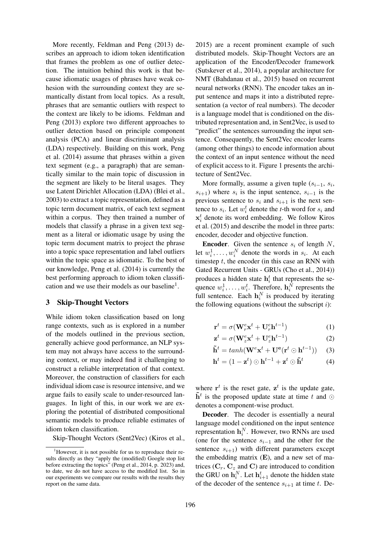More recently, Feldman and Peng (2013) describes an approach to idiom token identification that frames the problem as one of outlier detection. The intuition behind this work is that because idiomatic usages of phrases have weak cohesion with the surrounding context they are semantically distant from local topics. As a result, phrases that are semantic outliers with respect to the context are likely to be idioms. Feldman and Peng (2013) explore two different approaches to outlier detection based on principle component analysis (PCA) and linear discriminant analysis (LDA) respectively. Building on this work, Peng et al. (2014) assume that phrases within a given text segment (e.g., a paragraph) that are semantically similar to the main topic of discussion in the segment are likely to be literal usages. They use Latent Dirichlet Allocation (LDA) (Blei et al., 2003) to extract a topic representation, defined as a topic term document matrix, of each text segment within a corpus. They then trained a number of models that classify a phrase in a given text segment as a literal or idiomatic usage by using the topic term document matrix to project the phrase into a topic space representation and label outliers within the topic space as idiomatic. To the best of our knowledge, Peng et al. (2014) is currently the best performing approach to idiom token classification and we use their models as our baseline<sup>1</sup>.

## 3 Skip-Thought Vectors

While idiom token classification based on long range contexts, such as is explored in a number of the models outlined in the previous section, generally achieve good performance, an NLP system may not always have access to the surrounding context, or may indeed find it challenging to construct a reliable interpretation of that context. Moreover, the construction of classifiers for each individual idiom case is resource intensive, and we argue fails to easily scale to under-resourced languages. In light of this, in our work we are exploring the potential of distributed compositional semantic models to produce reliable estimates of idiom token classification.

Skip-Thought Vectors (Sent2Vec) (Kiros et al.,

2015) are a recent prominent example of such distributed models. Skip-Thought Vectors are an application of the Encoder/Decoder framework (Sutskever et al., 2014), a popular architecture for NMT (Bahdanau et al., 2015) based on recurrent neural networks (RNN). The encoder takes an input sentence and maps it into a distributed representation (a vector of real numbers). The decoder is a language model that is conditioned on the distributed representation and, in Sent2Vec, is used to "predict" the sentences surrounding the input sentence. Consequently, the Sent2Vec encoder learns (among other things) to encode information about the context of an input sentence without the need of explicit access to it. Figure 1 presents the architecture of Sent2Vec.

More formally, assume a given tuple  $(s_{i-1}, s_i,$  $s_{i+1}$ ) where  $s_i$  is the input sentence,  $s_{i-1}$  is the previous sentence to  $s_i$  and  $s_{i+1}$  is the next sentence to  $s_i$ . Let  $w_i^t$  denote the *t*-th word for  $s_i$  and  $\mathbf{x}_i^t$  denote its word embedding. We follow Kiros et al. (2015) and describe the model in three parts: encoder, decoder and objective function.

**Encoder.** Given the sentence  $s_i$  of length N, let  $w_i^1, \ldots, w_i^N$  denote the words in  $s_i$ . At each timestep  $t$ , the encoder (in this case an RNN with Gated Recurrent Units - GRUs (Cho et al., 2014)) produces a hidden state  $h_i^t$  that represents the sequence  $w_i^1, \ldots, w_i^t$ . Therefore,  $\mathbf{h}_i^N$  represents the full sentence. Each  $\mathbf{h}_i^N$  is produced by iterating the following equations (without the subscript  $i$ ):

$$
\mathbf{r}^t = \sigma(\mathbf{W}_r^e \mathbf{x}^t + \mathbf{U}_r^e \mathbf{h}^{t-1})
$$
 (1)

$$
\mathbf{z}^t = \sigma(\mathbf{W}_z^e \mathbf{x}^t + \mathbf{U}_z^e \mathbf{h}^{t-1})
$$
 (2)

$$
\tilde{\mathbf{h}}^t = tanh(\mathbf{W}^e \mathbf{x}^t + \mathbf{U}^e(\mathbf{r}^t \odot \mathbf{h}^{t-1})) \quad (3)
$$

$$
\mathbf{h}^{t} = (1 - \mathbf{z}^{t}) \odot \mathbf{h}^{t-1} + \mathbf{z}^{t} \odot \tilde{\mathbf{h}}^{t} \tag{4}
$$

where  $\mathbf{r}^t$  is the reset gate,  $\mathbf{z}^t$  is the update gate,  $\tilde{\mathbf{h}}^t$  is the proposed update state at time t and  $\odot$ denotes a component-wise product.

Decoder. The decoder is essentially a neural language model conditioned on the input sentence representation  $\mathbf{h}_i^N$ . However, two RNNs are used (one for the sentence  $s_{i-1}$  and the other for the sentence  $s_{i+1}$ ) with different parameters except the embedding matrix  $(E)$ , and a new set of matrices  $(C_r, C_z \text{ and } C)$  are introduced to condition the GRU on  $\mathbf{h}_i^N$ . Let  $\mathbf{h}_{i+1}^t$  denote the hidden state of the decoder of the sentence  $s_{i+1}$  at time t. De-

 $1$ However, it is not possible for us to reproduce their results directly as they "apply the (modified) Google stop list before extracting the topics" (Peng et al., 2014, p. 2023) and, to date, we do not have access to the modified list. So in our experiments we compare our results with the results they report on the same data.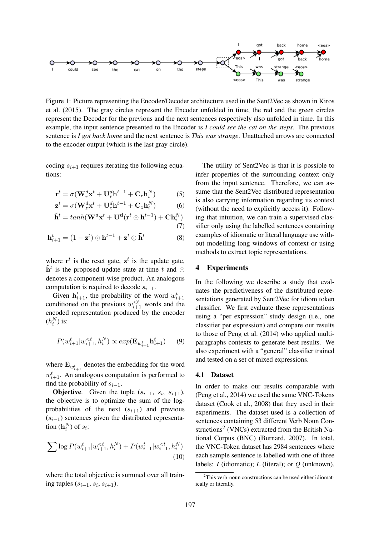

Figure 1: Picture representing the Encoder/Decoder architecture used in the Sent2Vec as shown in Kiros et al. (2015). The gray circles represent the Encoder unfolded in time, the red and the green circles represent the Decoder for the previous and the next sentences respectively also unfolded in time. In this example, the input sentence presented to the Encoder is *I could see the cat on the steps*. The previous sentence is *I got back home* and the next sentence is *This was strange*. Unattached arrows are connected to the encoder output (which is the last gray circle).

coding  $s_{i+1}$  requires iterating the following equations:

$$
\mathbf{r}^{t} = \sigma(\mathbf{W}_{r}^{d}\mathbf{x}^{t} + \mathbf{U}_{r}^{d}\mathbf{h}^{t-1} + \mathbf{C}_{r}\mathbf{h}_{i}^{N})
$$
 (5)

$$
\mathbf{z}^{t} = \sigma(\mathbf{W}_{z}^{d}\mathbf{x}^{t} + \mathbf{U}_{z}^{d}\mathbf{h}^{t-1} + \mathbf{C}_{z}\mathbf{h}_{i}^{N})
$$
(6)

$$
\tilde{\mathbf{h}}^t = tanh(\mathbf{W}^d \mathbf{x}^t + \mathbf{U}^d (\mathbf{r}^t \odot \mathbf{h}^{t-1}) + \mathbf{C} \mathbf{h}_i^N) \tag{7}
$$

$$
\mathbf{h}_{i+1}^{t} = (1 - \mathbf{z}^{t}) \odot \mathbf{h}^{t-1} + \mathbf{z}^{t} \odot \tilde{\mathbf{h}}^{t}
$$
 (8)

where  $\mathbf{r}^t$  is the reset gate,  $\mathbf{z}^t$  is the update gate,  $\tilde{\mathbf{h}}^t$  is the proposed update state at time t and  $\odot$ denotes a component-wise product. An analogous computation is required to decode  $s_{i-1}$ .

Given  $h_{i+1}^t$ , the probability of the word  $w_{i+1}^t$ conditioned on the previous  $w_{i+1}^{\leq t}$  words and the encoded representation produced by the encoder  $(h_i^N)$  is:

$$
P(w_{i+1}^t | w_{i+1}^{< t}, h_i^N) \propto exp(\mathbf{E}_{w_{i+1}^t} \mathbf{h}_{i+1}^t) \qquad (9)
$$

where  $\mathbf{E}_{w_{i+1}^t}$  denotes the embedding for the word  $w_{i+1}^t$ . An analogous computation is performed to find the probability of  $s_{i-1}$ .

**Objective.** Given the tuple  $(s_{i-1}, s_i, s_{i+1})$ , the objective is to optimize the sum of the logprobabilities of the next  $(s_{i+1})$  and previous  $(s_{i-1})$  sentences given the distributed representation  $(\mathbf{h}_i^N)$  of  $s_i$ :

$$
\sum \log P(w_{i+1}^{t}|w_{i+1}^{< t}, h_{i}^{N}) + P(w_{i-1}^{t}|w_{i-1}^{< t}, h_{i}^{N})
$$
\n(10)

where the total objective is summed over all training tuples  $(s_{i-1}, s_i, s_{i+1})$ .

The utility of Sent2Vec is that it is possible to infer properties of the surrounding context only from the input sentence. Therefore, we can assume that the Sent2Vec distributed representation is also carrying information regarding its context (without the need to explicitly access it). Following that intuition, we can train a supervised classifier only using the labelled sentences containing examples of idiomatic or literal language use without modelling long windows of context or using methods to extract topic representations.

### 4 Experiments

In the following we describe a study that evaluates the predictiveness of the distributed representations generated by Sent2Vec for idiom token classifier. We first evaluate these representations using a "per expression" study design (i.e., one classifier per expression) and compare our results to those of Peng et al. (2014) who applied multiparagraphs contexts to generate best results. We also experiment with a "general" classifier trained and tested on a set of mixed expressions.

#### 4.1 Dataset

In order to make our results comparable with (Peng et al., 2014) we used the same VNC-Tokens dataset (Cook et al., 2008) that they used in their experiments. The dataset used is a collection of sentences containing 53 different Verb Noun Constructions<sup>2</sup> (VNCs) extracted from the British National Corpus (BNC) (Burnard, 2007). In total, the VNC-Token dataset has 2984 sentences where each sample sentence is labelled with one of three labels: *I* (idiomatic); *L* (literal); or *Q* (unknown).

 $2$ This verb-noun constructions can be used either idiomatically or literally.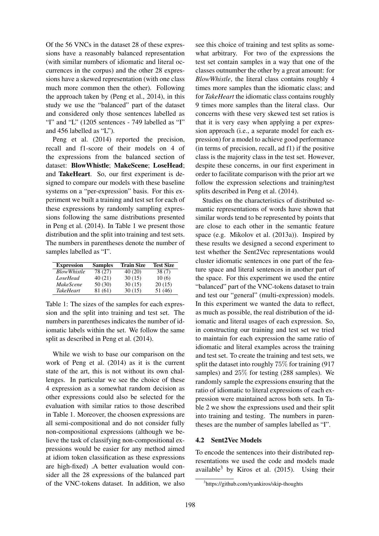Of the 56 VNCs in the dataset 28 of these expressions have a reasonably balanced representation (with similar numbers of idiomatic and literal occurrences in the corpus) and the other 28 expressions have a skewed representation (with one class much more common then the other). Following the approach taken by (Peng et al., 2014), in this study we use the "balanced" part of the dataset and considered only those sentences labelled as "I" and "L" (1205 sentences - 749 labelled as "I" and 456 labelled as "L").

Peng et al. (2014) reported the precision, recall and f1-score of their models on 4 of the expressions from the balanced section of dataset: BlowWhistle; MakeScene; LoseHead; and TakeHeart. So, our first experiment is designed to compare our models with these baseline systems on a "per-expression" basis. For this experiment we built a training and test set for each of these expressions by randomly sampling expressions following the same distributions presented in Peng et al. (2014). In Table 1 we present those distribution and the split into training and test sets. The numbers in parentheses denote the number of samples labelled as "I".

| <b>Expression</b>  | <b>Samples</b> | <b>Train Size</b> | <b>Test Size</b> |
|--------------------|----------------|-------------------|------------------|
| <b>BlowWhistle</b> | 78 (27)        | 40(20)            | 38(7)            |
| LoseHead           | 40(21)         | 30(15)            | 10(6)            |
| <i>MakeScene</i>   | 50 (30)        | 30(15)            | 20(15)           |
| <i>TakeHeart</i>   | 81 (61)        | 30(15)            | 51 (46)          |

Table 1: The sizes of the samples for each expression and the split into training and test set. The numbers in parentheses indicates the number of idiomatic labels within the set. We follow the same split as described in Peng et al. (2014).

While we wish to base our comparison on the work of Peng et al. (2014) as it is the current state of the art, this is not without its own challenges. In particular we see the choice of these 4 expression as a somewhat random decision as other expressions could also be selected for the evaluation with similar ratios to those described in Table 1. Moreover, the choosen expressions are all semi-compositional and do not consider fully non-compositional expressions (although we believe the task of classifying non-compositional expressions would be easier for any method aimed at idiom token classification as these expressions are high-fixed) .A better evaluation would consider all the 28 expressions of the balanced part of the VNC-tokens dataset. In addition, we also see this choice of training and test splits as somewhat arbitrary. For two of the expressions the test set contain samples in a way that one of the classes outnumber the other by a great amount: for *BlowWhistle*, the literal class contains roughly 4 times more samples than the idiomatic class; and for *TakeHeart* the idiomatic class contains roughly 9 times more samples than the literal class. Our concerns with these very skewed test set ratios is that it is very easy when applying a per expression approach (i.e., a separate model for each expression) for a model to achieve good performance (in terms of precision, recall, ad f1) if the positive class is the majority class in the test set. However, despite these concerns, in our first experiment in order to facilitate comparison with the prior art we follow the expression selections and training/test splits described in Peng et al. (2014).

Studies on the characteristics of distributed semantic representations of words have shown that similar words tend to be represented by points that are close to each other in the semantic feature space (e.g. Mikolov et al. (2013a)). Inspired by these results we designed a second experiment to test whether the Sent2Vec representations would cluster idiomatic sentences in one part of the feature space and literal sentences in another part of the space. For this experiment we used the entire "balanced" part of the VNC-tokens dataset to train and test our "general" (multi-expression) models. In this experiment we wanted the data to reflect, as much as possible, the real distribution of the idiomatic and literal usages of each expression. So, in constructing our training and test set we tried to maintain for each expression the same ratio of idiomatic and literal examples across the training and test set. To create the training and test sets, we split the dataset into roughly 75% for training (917 samples) and 25% for testing (288 samples). We randomly sample the expressions ensuring that the ratio of idiomatic to literal expressions of each expression were maintained across both sets. In Table 2 we show the expressions used and their split into training and testing. The numbers in parentheses are the number of samples labelled as "I".

#### 4.2 Sent2Vec Models

To encode the sentences into their distributed representations we used the code and models made available<sup>3</sup> by Kiros et al.  $(2015)$ . Using their

<sup>3</sup> https://github.com/ryankiros/skip-thoughts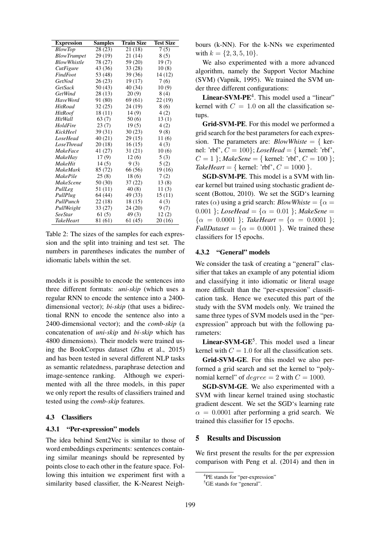| <b>Expression</b>  | <b>Samples</b> | <b>Train Size</b> | <b>Test Size</b> |
|--------------------|----------------|-------------------|------------------|
| <b>BlowTop</b>     | 28(23)         | 21(18)            | 7(5)             |
| <b>BlowTrumpet</b> | 29 (19)        | 21 (14)           | 8(5)             |
| <b>BlowWhistle</b> | 78 (27)        | 59 (20)           | 19(7)            |
| CutFigure          | 43 (36)        | 33(28)            | 10(8)            |
| FindFoot           | 53 (48)        | 39(36)            | 14 (12)          |
| GetNod             | 26(23)         | 19(17)            | 7(6)             |
| GetSack            | 50(43)         | 40 (34)           | 10(9)            |
| GetWind            | 28 (13)        | 20(9)             | 8(4)             |
| HaveWord           | 91 (80)        | 69 (61)           | 22 (19)          |
| <b>HitRoad</b>     | 32(25)         | 24 (19)           | 8 (6)            |
| <b>HitRoof</b>     | 18(11)         | 14(9)             | 4(2)             |
| HitWall            | 63(7)          | 50(6)             | 13(1)            |
| HoldFire           | 23(7)          | 19(5)             | 4(2)             |
| KickHeel           | 39 (31)        | 30(23)            | 9(8)             |
| LoseHead           | 40 (21)        | 29(15)            | 11(6)            |
| <b>LoseThread</b>  | 20(18)         | 16(15)            | 4(3)             |
| <i>MakeFace</i>    | 41 (27)        | 31(21)            | 10(6)            |
| MakeHav            | 17(9)          | 12(6)             | 5(3)             |
| <b>MakeHit</b>     | 14(5)          | 9(3)              | 5(2)             |
| <b>MakeMark</b>    | 85 (72)        | 66 (56)           | 19(16)           |
| MakePile           | 25(8)          | 18(6)             | 7(2)             |
| <i>MakeScene</i>   | 50 (30)        | 37(22)            | 13(8)            |
| PullLeg            | 51 (11)        | 40(8)             | 11(3)            |
| PullPlug           | 64 (44)        | 49 (33)           | 15(11)           |
| PullPunch          | 22(18)         | 18(15)            | 4(3)             |
| PullWeight         | 33 (27)        | 24(20)            | 9(7)             |
| <b>SeeStar</b>     | 61(5)          | 49(3)             | 12(2)            |
| <b>TakeHeart</b>   | 81 (61)        | 61 (45)           | 20(16)           |

Table 2: The sizes of the samples for each expression and the split into training and test set. The numbers in parentheses indicates the number of idiomatic labels within the set.

models it is possible to encode the sentences into three different formats: *uni-skip* (which uses a regular RNN to encode the sentence into a 2400 dimensional vector); *bi-skip* (that uses a bidirectional RNN to encode the sentence also into a 2400-dimensional vector); and the *comb-skip* (a concatenation of *uni-skip* and *bi-skip* which has 4800 dimensions). Their models were trained using the BookCorpus dataset (Zhu et al., 2015) and has been tested in several different NLP tasks as semantic relatedness, paraphrase detection and image-sentence ranking. Although we experimented with all the three models, in this paper we only report the results of classifiers trained and tested using the *comb-skip* features.

#### 4.3 Classifiers

#### 4.3.1 "Per-expression" models

The idea behind Sent2Vec is similar to those of word embeddings experiments: sentences containing similar meanings should be represented by points close to each other in the feature space. Following this intuition we experiment first with a similarity based classifier, the K-Nearest Neighbours (k-NN). For the k-NNs we experimented with  $k = \{2, 3, 5, 10\}.$ 

We also experimented with a more advanced algorithm, namely the Support Vector Machine (SVM) (Vapnik, 1995). We trained the SVM under three different configurations:

Linear-SVM-PE<sup>4</sup>. This model used a "linear" kernel with  $C = 1.0$  on all the classification setups.

Grid-SVM-PE. For this model we performed a grid search for the best parameters for each expression. The parameters are:  $\textit{BlowWhiste} = \{ \text{ker-} \}$ nel: 'rbf',  $C = 100$ }; *LoseHead* = { kernel: 'rbf',  $C = 1$  }; *MakeSene* = { kernel: 'rbf',  $C = 100$  }; *TakeHeart* = { kernel: 'rbf',  $C = 1000$  }.

SGD-SVM-PE. This model is a SVM with linear kernel but trained using stochastic gradient descent (Bottou, 2010). We set the SGD's learning rates ( $\alpha$ ) using a grid search: *BlowWhiste* = { $\alpha$  = 0.001 }; *LoseHead* = { $\alpha$  = 0.01 }; *MakeSene* =  $\{\alpha = 0.0001\}$ ; *TakeHeart* =  $\{\alpha = 0.0001\}$ ; *FullDataset* =  $\{\alpha = 0.0001\}$ . We trained these classifiers for 15 epochs.

#### 4.3.2 "General" models

We consider the task of creating a "general" classifier that takes an example of any potential idiom and classifying it into idiomatic or literal usage more difficult than the "per-expression" classification task. Hence we executed this part of the study with the SVM models only. We trained the same three types of SVM models used in the "perexpression" approach but with the following parameters:

Linear-SVM-GE<sup>5</sup>. This model used a linear kernel with  $C = 1.0$  for all the classification sets.

Grid-SVM-GE. For this model we also performed a grid search and set the kernel to "polynomial kernel" of  $degree = 2$  with  $C = 1000$ .

SGD-SVM-GE. We also experimented with a SVM with linear kernel trained using stochastic gradient descent. We set the SGD's learning rate  $\alpha = 0.0001$  after performing a grid search. We trained this classifier for 15 epochs.

### 5 Results and Discussion

We first present the results for the per expression comparison with Peng et al. (2014) and then in

<sup>4</sup> PE stands for "per-expression"

<sup>&</sup>lt;sup>5</sup>GE stands for "general".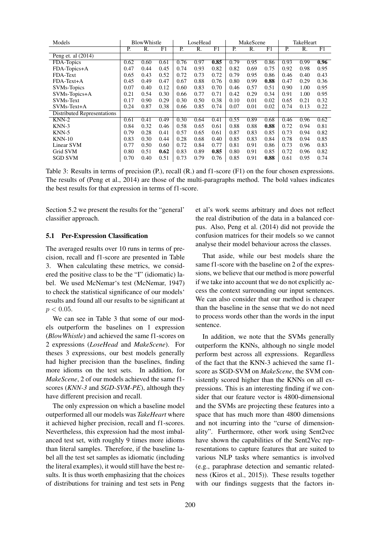| Models                             | BlowWhistle |      |      | LoseHead |      |      | MakeScene |      |      | TakeHeart |      |      |
|------------------------------------|-------------|------|------|----------|------|------|-----------|------|------|-----------|------|------|
|                                    | P.          | R.   | F1   | P.       | R.   | F1   | P.        | R.   | F1   | P.        | R.   | F1   |
| Peng et. al $(2014)$               |             |      |      |          |      |      |           |      |      |           |      |      |
| FDA-Topics                         | 0.62        | 0.60 | 0.61 | 0.76     | 0.97 | 0.85 | 0.79      | 0.95 | 0.86 | 0.93      | 0.99 | 0.96 |
| FDA-Topics+A                       | 0.47        | 0.44 | 0.45 | 0.74     | 0.93 | 0.82 | 0.82      | 0.69 | 0.75 | 0.92      | 0.98 | 0.95 |
| FDA-Text                           | 0.65        | 0.43 | 0.52 | 0.72     | 0.73 | 0.72 | 0.79      | 0.95 | 0.86 | 0.46      | 0.40 | 0.43 |
| $FDA-Text+A$                       | 0.45        | 0.49 | 0.47 | 0.67     | 0.88 | 0.76 | 0.80      | 0.99 | 0.88 | 0.47      | 0.29 | 0.36 |
| <b>SVMs-Topics</b>                 | 0.07        | 0.40 | 0.12 | 0.60     | 0.83 | 0.70 | 0.46      | 0.57 | 0.51 | 0.90      | 1.00 | 0.95 |
| SVMs-Topics+A                      | 0.21        | 0.54 | 0.30 | 0.66     | 0.77 | 0.71 | 0.42      | 0.29 | 0.34 | 0.91      | 1.00 | 0.95 |
| <b>SVMs-Text</b>                   | 0.17        | 0.90 | 0.29 | 0.30     | 0.50 | 0.38 | 0.10      | 0.01 | 0.02 | 0.65      | 0.21 | 0.32 |
| SVMs-Text+A                        | 0.24        | 0.87 | 0.38 | 0.66     | 0.85 | 0.74 | 0.07      | 0.01 | 0.02 | 0.74      | 0.13 | 0.22 |
| <b>Distributed Representations</b> |             |      |      |          |      |      |           |      |      |           |      |      |
| $KNN-2$                            | 0.61        | 0.41 | 0.49 | 0.30     | 0.64 | 0.41 | 0.55      | 0.89 | 0.68 | 0.46      | 0.96 | 0.62 |
| $KNN-3$                            | 0.84        | 0.32 | 0.46 | 0.58     | 0.65 | 0.61 | 0.88      | 0.88 | 0.88 | 0.72      | 0.94 | 0.81 |
| $KNN-5$                            | 0.79        | 0.28 | 0.41 | 0.57     | 0.65 | 0.61 | 0.87      | 0.83 | 0.85 | 0.73      | 0.94 | 0.82 |
| $KNN-10$                           | 0.83        | 0.30 | 0.44 | 0.28     | 0.68 | 0.40 | 0.85      | 0.83 | 0.84 | 0.78      | 0.94 | 0.85 |
| Linear SVM                         | 0.77        | 0.50 | 0.60 | 0.72     | 0.84 | 0.77 | 0.81      | 0.91 | 0.86 | 0.73      | 0.96 | 0.83 |
| Grid SVM                           | 0.80        | 0.51 | 0.62 | 0.83     | 0.89 | 0.85 | 0.80      | 0.91 | 0.85 | 0.72      | 0.96 | 0.82 |
| <b>SGD SVM</b>                     | 0.70        | 0.40 | 0.51 | 0.73     | 0.79 | 0.76 | 0.85      | 0.91 | 0.88 | 0.61      | 0.95 | 0.74 |

Table 3: Results in terms of precision (P.), recall (R.) and f1-score (F1) on the four chosen expressions. The results of (Peng et al., 2014) are those of the multi-paragraphs method. The bold values indicates the best results for that expression in terms of f1-score.

Section 5.2 we present the results for the "general' classifier approach.

#### 5.1 Per-Expression Classification

The averaged results over 10 runs in terms of precision, recall and f1-score are presented in Table 3. When calculating these metrics, we considered the positive class to be the "I" (idiomatic) label. We used McNemar's test (McNemar, 1947) to check the statistical significance of our models' results and found all our results to be significant at  $p < 0.05$ .

We can see in Table 3 that some of our models outperform the baselines on 1 expression (*BlowWhistle*) and achieved the same f1-scores on 2 expressions (*LoseHead* and *MakeScene*). For theses 3 expressions, our best models generally had higher precision than the baselines, finding more idioms on the test sets. In addition, for *MakeScene*, 2 of our models achieved the same f1 scores (*KNN-3* and *SGD-SVM-PE*), although they have different precision and recall.

The only expression on which a baseline model outperformed all our models was *TakeHeart* where it achieved higher precision, recall and f1-scores. Nevertheless, this expression had the most imbalanced test set, with roughly 9 times more idioms than literal samples. Therefore, if the baseline label all the test set samples as idiomatic (including the literal examples), it would still have the best results. It is thus worth emphasizing that the choices of distributions for training and test sets in Peng et al's work seems arbitrary and does not reflect the real distribution of the data in a balanced corpus. Also, Peng et al. (2014) did not provide the confusion matrices for their models so we cannot analyse their model behaviour across the classes.

That aside, while our best models share the same f1-score with the baseline on 2 of the expressions, we believe that our method is more powerful if we take into account that we do not explicitly access the context surrounding our input sentences. We can also consider that our method is cheaper than the baseline in the sense that we do not need to process words other than the words in the input sentence.

In addition, we note that the SVMs generally outperform the KNNs, although no single model perform best across all expressions. Regardless of the fact that the KNN-3 achieved the same f1 score as SGD-SVM on *MakeScene*, the SVM consistently scored higher than the KNNs on all expressions. This is an interesting finding if we consider that our feature vector is 4800-dimensional and the SVMs are projecting these features into a space that has much more than 4800 dimensions and not incurring into the "curse of dimensionality". Furthermore, other work using Sent2vec have shown the capabilities of the Sent2Vec representations to capture features that are suited to various NLP tasks where semantics is involved (e.g., paraphrase detection and semantic relatedness (Kiros et al., 2015)). These results together with our findings suggests that the factors in-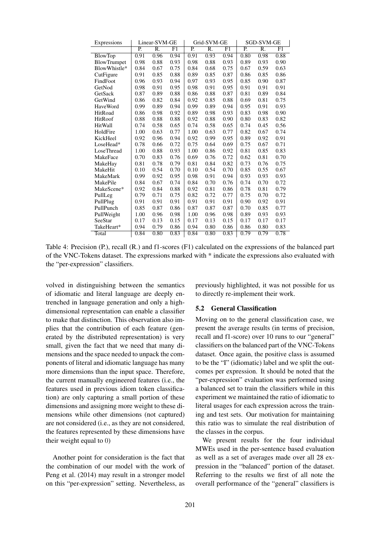| Expressions        | Linear-SVM-GE    |      |      |                  | Grid-SVM-GE      |      | SGD-SVM-GE |      |      |  |
|--------------------|------------------|------|------|------------------|------------------|------|------------|------|------|--|
|                    | $\overline{P}$ . | R.   | F1   | $\overline{P}$ . | $\overline{R}$ . | F1   | P.         | R.   | F1   |  |
| <b>BlowTop</b>     | 0.91             | 0.96 | 0.94 | 0.91             | 0.93             | 0.94 | 0.80       | 0.98 | 0.88 |  |
| <b>BlowTrumpet</b> | 0.98             | 0.88 | 0.93 | 0.98             | 0.88             | 0.93 | 0.89       | 0.93 | 0.90 |  |
| BlowWhistle*       | 0.84             | 0.67 | 0.75 | 0.84             | 0.68             | 0.75 | 0.67       | 0.59 | 0.63 |  |
| CutFigure          | 0.91             | 0.85 | 0.88 | 0.89             | 0.85             | 0.87 | 0.86       | 0.85 | 0.86 |  |
| FindFoot           | 0.96             | 0.93 | 0.94 | 0.97             | 0.93             | 0.95 | 0.85       | 0.90 | 0.87 |  |
| GetNod             | 0.98             | 0.91 | 0.95 | 0.98             | 0.91             | 0.95 | 0.91       | 0.91 | 0.91 |  |
| GetSack            | 0.87             | 0.89 | 0.88 | 0.86             | 0.88             | 0.87 | 0.81       | 0.89 | 0.84 |  |
| GetWind            | 0.86             | 0.82 | 0.84 | 0.92             | 0.85             | 0.88 | 0.69       | 0.81 | 0.75 |  |
| HaveWord           | 0.99             | 0.89 | 0.94 | 0.99             | 0.89             | 0.94 | 0.95       | 0.91 | 0.93 |  |
| HitRoad            | 0.86             | 0.98 | 0.92 | 0.89             | 0.98             | 0.93 | 0.83       | 0.98 | 0.90 |  |
| HitRoof            | 0.88             | 0.88 | 0.88 | 0.92             | 0.88             | 0.90 | 0.80       | 0.83 | 0.82 |  |
| HitWall            | 0.74             | 0.58 | 0.65 | 0.74             | 0.58             | 0.65 | 0.74       | 0.45 | 0.56 |  |
| HoldFire           | 1.00             | 0.63 | 0.77 | 1.00             | 0.63             | 0.77 | 0.82       | 0.67 | 0.74 |  |
| KickHeel           | 0.92             | 0.96 | 0.94 | 0.92             | 0.99             | 0.95 | 0.89       | 0.92 | 0.91 |  |
| LoseHead*          | 0.78             | 0.66 | 0.72 | 0.75             | 0.64             | 0.69 | 0.75       | 0.67 | 0.71 |  |
| LoseThread         | 1.00             | 0.88 | 0.93 | 1.00             | 0.86             | 0.92 | 0.81       | 0.85 | 0.83 |  |
| MakeFace           | 0.70             | 0.83 | 0.76 | 0.69             | 0.76             | 0.72 | 0.62       | 0.81 | 0.70 |  |
| MakeHay            | 0.81             | 0.78 | 0.79 | 0.81             | 0.84             | 0.82 | 0.73       | 0.76 | 0.75 |  |
| MakeHit            | 0.10             | 0.54 | 0.70 | 0.10             | 0.54             | 0.70 | 0.85       | 0.55 | 0.67 |  |
| MakeMark           | 0.99             | 0.92 | 0.95 | 0.98             | 0.91             | 0.94 | 0.93       | 0.93 | 0.93 |  |
| MakePile           | 0.84             | 0.67 | 0.74 | 0.84             | 0.70             | 0.76 | 0.74       | 0.70 | 0.72 |  |
| MakeScene*         | 0.92             | 0.84 | 0.88 | 0.92             | 0.81             | 0.86 | 0.78       | 0.81 | 0.79 |  |
| PullLeg            | 0.79             | 0.71 | 0.75 | 0.82             | 0.72             | 0.77 | 0.75       | 0.70 | 0.72 |  |
| PullPlug           | 0.91             | 0.91 | 0.91 | 0.91             | 0.91             | 0.91 | 0.90       | 0.92 | 0.91 |  |
| PullPunch          | 0.85             | 0.87 | 0.86 | 0.87             | 0.87             | 0.87 | 0.70       | 0.85 | 0.77 |  |
| PullWeight         | 1.00             | 0.96 | 0.98 | 1.00             | 0.96             | 0.98 | 0.89       | 0.93 | 0.93 |  |
| SeeStar            | 0.17             | 0.13 | 0.15 | 0.17             | 0.13             | 0.15 | 0.17       | 0.17 | 0.17 |  |
| TakeHeart*         | 0.94             | 0.79 | 0.86 | 0.94             | 0.80             | 0.86 | 0.86       | 0.80 | 0.83 |  |
| Total              | 0.84             | 0.80 | 0.83 | 0.84             | 0.80             | 0.83 | 0.79       | 0.79 | 0.78 |  |

Table 4: Precision (P.), recall (R.) and f1-scores (F1) calculated on the expressions of the balanced part of the VNC-Tokens dataset. The expressions marked with \* indicate the expressions also evaluated with the "per-expression" classifiers.

volved in distinguishing between the semantics of idiomatic and literal language are deeply entrenched in language generation and only a highdimensional representation can enable a classifier to make that distinction. This observation also implies that the contribution of each feature (generated by the distributed representation) is very small, given the fact that we need that many dimensions and the space needed to unpack the components of literal and idiomatic language has many more dimensions than the input space. Therefore, the current manually engineered features (i.e., the features used in previous idiom token classification) are only capturing a small portion of these dimensions and assigning more weight to these dimensions while other dimensions (not captured) are not considered (i.e., as they are not considered, the features represented by these dimensions have their weight equal to 0)

Another point for consideration is the fact that the combination of our model with the work of Peng et al. (2014) may result in a stronger model on this "per-expression" setting. Nevertheless, as

previously highlighted, it was not possible for us to directly re-implement their work.

#### 5.2 General Classification

Moving on to the general classification case, we present the average results (in terms of precision, recall and f1-score) over 10 runs to our "general" classifiers on the balanced part of the VNC-Tokens dataset. Once again, the positive class is assumed to be the "I" (idiomatic) label and we split the outcomes per expression. It should be noted that the "per-expression" evaluation was performed using a balanced set to train the classifiers while in this experiment we maintained the ratio of idiomatic to literal usages for each expression across the training and test sets. Our motivation for maintaining this ratio was to simulate the real distribution of the classes in the corpus.

We present results for the four individual MWEs used in the per-sentence based evaluation as well as a set of averages made over all 28 expression in the "balanced" portion of the dataset. Referring to the results we first of all note the overall performance of the "general" classifiers is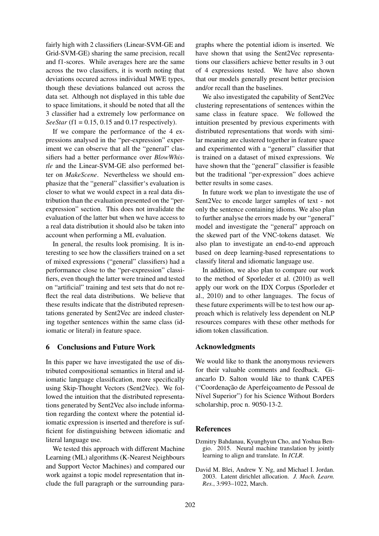fairly high with 2 classifiers (Linear-SVM-GE and Grid-SVM-GE) sharing the same precision, recall and f1-scores. While averages here are the same across the two classifiers, it is worth noting that deviations occured across individual MWE types, though these deviations balanced out across the data set. Although not displayed in this table due to space limitations, it should be noted that all the 3 classifier had a extremely low performance on *SeeStar* (f1 = 0.15, 0.15 and 0.17 respectively).

If we compare the performance of the 4 expressions analysed in the "per-expression" experiment we can observe that all the "general" classifiers had a better performance over *BlowWhistle* and the Linear-SVM-GE also performed better on *MakeScene*. Nevertheless we should emphasize that the "general" classifier's evaluation is closer to what we would expect in a real data distribution than the evaluation presented on the "perexpression" section. This does not invalidate the evaluation of the latter but when we have access to a real data distribution it should also be taken into account when performing a ML evaluation.

In general, the results look promising. It is interesting to see how the classifiers trained on a set of mixed expressions ("general" classifiers) had a performance close to the "per-expression" classifiers, even though the latter were trained and tested on "artificial" training and test sets that do not reflect the real data distributions. We believe that these results indicate that the distributed representations generated by Sent2Vec are indeed clustering together sentences within the same class (idiomatic or literal) in feature space.

#### 6 Conclusions and Future Work

In this paper we have investigated the use of distributed compositional semantics in literal and idiomatic language classification, more specifically using Skip-Thought Vectors (Sent2Vec). We followed the intuition that the distributed representations generated by Sent2Vec also include information regarding the context where the potential idiomatic expression is inserted and therefore is sufficient for distinguishing between idiomatic and literal language use.

We tested this approach with different Machine Learning (ML) algorithms (K-Nearest Neighbours and Support Vector Machines) and compared our work against a topic model representation that include the full paragraph or the surrounding para-

graphs where the potential idiom is inserted. We have shown that using the Sent2Vec representations our classifiers achieve better results in 3 out of 4 expressions tested. We have also shown that our models generally present better precision and/or recall than the baselines.

We also investigated the capability of Sent2Vec clustering representations of sentences within the same class in feature space. We followed the intuition presented by previous experiments with distributed representations that words with similar meaning are clustered together in feature space and experimented with a "general" classifier that is trained on a dataset of mixed expressions. We have shown that the "general" classifier is feasible but the traditional "per-expression" does achieve better results in some cases.

In future work we plan to investigate the use of Sent2Vec to encode larger samples of text - not only the sentence containing idioms. We also plan to further analyse the errors made by our "general" model and investigate the "general" approach on the skewed part of the VNC-tokens dataset. We also plan to investigate an end-to-end approach based on deep learning-based representations to classify literal and idiomatic language use.

In addition, we also plan to compare our work to the method of Sporleder et al. (2010) as well apply our work on the IDX Corpus (Sporleder et al., 2010) and to other languages. The focus of these future experiments will be to test how our approach which is relatively less dependent on NLP resources compares with these other methods for idiom token classification.

## Acknowledgments

We would like to thank the anonymous reviewers for their valuable comments and feedback. Giancarlo D. Salton would like to thank CAPES ("Coordenação de Aperfeicoamento de Pessoal de Nível Superior") for his Science Without Borders scholarship, proc n. 9050-13-2.

## References

- Dzmitry Bahdanau, Kyunghyun Cho, and Yoshua Bengio. 2015. Neural machine translation by jointly learning to align and translate. In *ICLR*.
- David M. Blei, Andrew Y. Ng, and Michael I. Jordan. 2003. Latent dirichlet allocation. *J. Mach. Learn. Res.*, 3:993–1022, March.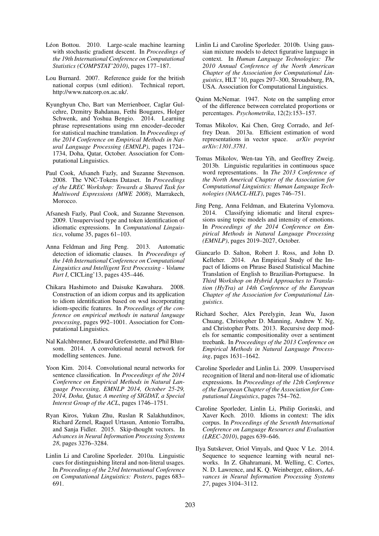- Léon Bottou. 2010. Large-scale machine learning with stochastic gradient descent. In *Proceedings of the 19th International Conference on Computational Statistics (COMPSTAT'2010)*, pages 177–187.
- Lou Burnard. 2007. Reference guide for the british national corpus (xml edition). Technical report, http://www.natcorp.ox.ac.uk/.
- Kyunghyun Cho, Bart van Merrienboer, Caglar Gulcehre, Dzmitry Bahdanau, Fethi Bougares, Holger Schwenk, and Yoshua Bengio. 2014. Learning phrase representations using rnn encoder–decoder for statistical machine translation. In *Proceedings of the 2014 Conference on Empirical Methods in Natural Language Processing (EMNLP)*, pages 1724– 1734, Doha, Qatar, October. Association for Computational Linguistics.
- Paul Cook, Afsaneh Fazly, and Suzanne Stevenson. 2008. The VNC-Tokens Dataset. In *Proceedings of the LREC Workshop: Towards a Shared Task for Multiword Expressions (MWE 2008)*, Marrakech, **Morocco**
- Afsanesh Fazly, Paul Cook, and Suzanne Stevenson. 2009. Unsupervised type and token identification of idiomatic expressions. In *Computational Linguistics*, volume 35, pages 61–103.
- Anna Feldman and Jing Peng. 2013. Automatic detection of idiomatic clauses. In *Proceedings of the 14th International Conference on Computational Linguistics and Intelligent Text Processing - Volume Part I*, CICLing'13, pages 435–446.
- Chikara Hashimoto and Daisuke Kawahara. 2008. Construction of an idiom corpus and its application to idiom identification based on wsd incorporating idiom-specific features. In *Proceedings of the conference on empirical methods in natural language processing*, pages 992–1001. Association for Computational Linguistics.
- Nal Kalchbrenner, Edward Grefenstette, and Phil Blunsom. 2014. A convolutional neural network for modelling sentences. June.
- Yoon Kim. 2014. Convolutional neural networks for sentence classification. In *Proceedings of the 2014 Conference on Empirical Methods in Natural Language Processing, EMNLP 2014, October 25-29, 2014, Doha, Qatar, A meeting of SIGDAT, a Special Interest Group of the ACL*, pages 1746–1751.
- Ryan Kiros, Yukun Zhu, Ruslan R Salakhutdinov, Richard Zemel, Raquel Urtasun, Antonio Torralba, and Sanja Fidler. 2015. Skip-thought vectors. In *Advances in Neural Information Processing Systems 28*, pages 3276–3284.
- Linlin Li and Caroline Sporleder. 2010a. Linguistic cues for distinguishing literal and non-literal usages. In *Proceedings of the 23rd International Conference on Computational Linguistics: Posters*, pages 683– 691.
- Linlin Li and Caroline Sporleder. 2010b. Using gaussian mixture models to detect figurative language in context. In *Human Language Technologies: The 2010 Annual Conference of the North American Chapter of the Association for Computational Linguistics*, HLT '10, pages 297–300, Stroudsburg, PA, USA. Association for Computational Linguistics.
- Quinn McNemar. 1947. Note on the sampling error of the difference between correlated proportions or percentages. *Psychometrika*, 12(2):153–157.
- Tomas Mikolov, Kai Chen, Greg Corrado, and Jeffrey Dean. 2013a. Efficient estimation of word representations in vector space. *arXiv preprint arXiv:1301.3781*.
- Tomas Mikolov, Wen-tau Yih, and Geoffrey Zweig. 2013b. Linguistic regularities in continuous space word representations. In *The 2013 Conference of the North Americal Chapter of the Association for Computational Linguistics: Human Language Technologies (NAACL-HLT)*, pages 746–751.
- Jing Peng, Anna Feldman, and Ekaterina Vylomova. 2014. Classifying idiomatic and literal expressions using topic models and intensity of emotions. In *Proceedings of the 2014 Conference on Empirical Methods in Natural Language Processing (EMNLP)*, pages 2019–2027, October.
- Giancarlo D. Salton, Robert J. Ross, and John D. Kelleher. 2014. An Empirical Study of the Impact of Idioms on Phrase Based Statistical Machine Translation of English to Brazilian-Portuguese. In *Third Workshop on Hybrid Approaches to Translation (HyTra) at 14th Conference of the European Chapter of the Association for Computational Linguistics*.
- Richard Socher, Alex Perelygin, Jean Wu, Jason Chuang, Christopher D. Manning, Andrew Y. Ng, and Christopher Potts. 2013. Recursive deep models for semantic compositionality over a sentiment treebank. In *Proceedings of the 2013 Conference on Empirical Methods in Natural Language Processing*, pages 1631–1642.
- Caroline Sporleder and Linlin Li. 2009. Unsupervised recognition of literal and non-literal use of idiomatic expressions. In *Proceedings of the 12th Conference of the European Chapter of the Association for Computational Linguistics*, pages 754–762.
- Caroline Sporleder, Linlin Li, Philip Gorinski, and Xaver Koch. 2010. Idioms in context: The idix corpus. In *Proceedings of the Seventh International Conference on Language Resources and Evaluation (LREC-2010)*, pages 639–646.
- Ilya Sutskever, Oriol Vinyals, and Quoc V Le. 2014. Sequence to sequence learning with neural networks. In Z. Ghahramani, M. Welling, C. Cortes, N. D. Lawrence, and K. Q. Weinberger, editors, *Advances in Neural Information Processing Systems 27*, pages 3104–3112.